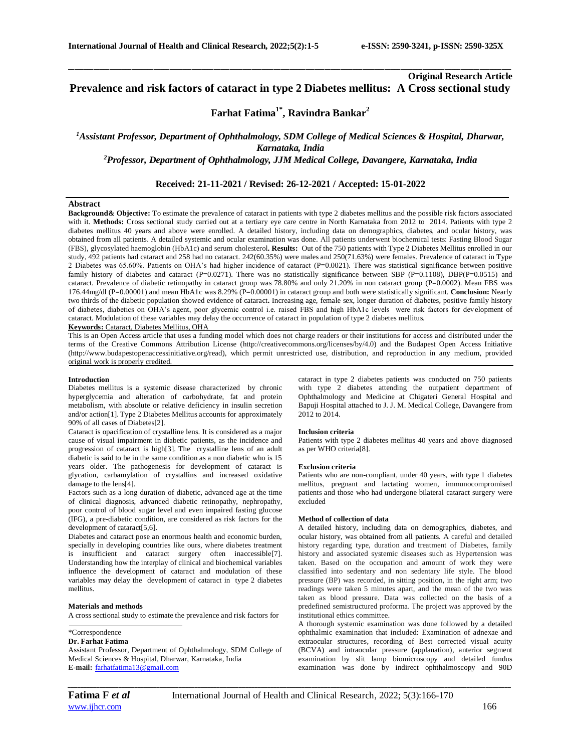# **Original Research Article Prevalence and risk factors of cataract in type 2 Diabetes mellitus: A Cross sectional study**

\_\_\_\_\_\_\_\_\_\_\_\_\_\_\_\_\_\_\_\_\_\_\_\_\_\_\_\_\_\_\_\_\_\_\_\_\_\_\_\_\_\_\_\_\_\_\_\_\_\_\_\_\_\_\_\_\_\_\_\_\_\_\_\_\_\_\_\_\_\_\_\_\_\_\_\_\_\_\_\_\_\_\_\_\_\_\_\_\_\_\_\_\_\_\_\_\_\_\_\_\_\_\_\_\_\_\_\_\_\_\_\_\_\_\_\_\_\_\_\_\_\_\_\_\_\_\_\_\_\_\_\_\_\_\_\_\_\_\_\_

# **Farhat Fatima1\* , Ravindra Bankar<sup>2</sup>**

*<sup>1</sup>Assistant Professor, Department of Ophthalmology, SDM College of Medical Sciences & Hospital, Dharwar, Karnataka, India <sup>2</sup>Professor, Department of Ophthalmology, JJM Medical College, Davangere, Karnataka, India*

## **Received: 21-11-2021 / Revised: 26-12-2021 / Accepted: 15-01-2022**

#### **Abstract**

**Background& Objective:** To estimate the prevalence of cataract in patients with type 2 diabetes mellitus and the possible risk factors associated with it. Methods: Cross sectional study carried out at a tertiary eye care centre in North Karnataka from 2012 to 2014. Patients with type 2 diabetes mellitus 40 years and above were enrolled. A detailed history, including data on demographics, diabetes, and ocular history, was obtained from all patients. A detailed systemic and ocular examination was done. All patients underwent biochemical tests: Fasting Blood Sugar (FBS), glycosylated haemoglobin (HbA1c) and serum cholesterol**. Results:** Out of the 750 patients with Type 2 Diabetes Mellitus enrolled in our study, 492 patients had cataract and 258 had no cataract. 242(60.35%) were males and 250(71.63%) were females. Prevalence of cataract in Type 2 Diabetes was 65.60%. Patients on OHA's had higher incidence of cataract (P=0.0021). There was statistical significance between positive family history of diabetes and cataract (P=0.0271). There was no statistically significance between SBP (P=0.1108), DBP(P=0.0515) and cataract. Prevalence of diabetic retinopathy in cataract group was 78.80% and only 21.20% in non cataract group (P=0.0002). Mean FBS was 176.44mg/dl (P=0.00001) and mean HbA1c was 8.29% (P=0.00001) in cataract group and both were statistically significant. **Conclusion:** Nearly two thirds of the diabetic population showed evidence of cataract**.** Increasing age, female sex, longer duration of diabetes, positive family history of diabetes, diabetics on OHA's agent, poor glycemic control i.e. raised FBS and high HbA1c levels were risk factors for development of cataract. Modulation of these variables may delay the occurrence of cataract in population of type 2 diabetes mellitus. **Keywords:** Cataract, Diabetes Mellitus, OHA

This is an Open Access article that uses a funding model which does not charge readers or their institutions for access and distributed under the terms of the Creative Commons Attribution License (http://creativecommons.org/licenses/by/4.0) and the Budapest Open Access Initiative (http://www.budapestopenaccessinitiative.org/read), which permit unrestricted use, distribution, and reproduction in any medium, provided original work is properly credited.

#### **Introduction**

Diabetes mellitus is a systemic disease characterized by chronic hyperglycemia and alteration of carbohydrate, fat and protein metabolism, with absolute or relative deficiency in insulin secretion and/or action[1]. Type 2 Diabetes Mellitus accounts for approximately 90% of all cases of Diabetes[2].

Cataract is opacification of crystalline lens. It is considered as a major cause of visual impairment in diabetic patients, as the incidence and progression of cataract is high[3]. The crystalline lens of an adult diabetic is said to be in the same condition as a non diabetic who is 15 years older. The pathogenesis for development of cataract is glycation, carbamylation of crystallins and increased oxidative damage to the lens[4].

Factors such as a long duration of diabetic, advanced age at the time of clinical diagnosis, advanced diabetic retinopathy, nephropathy, poor control of blood sugar level and even impaired fasting glucose (IFG), a pre-diabetic condition, are considered as risk factors for the development of cataract[5,6].

Diabetes and cataract pose an enormous health and economic burden, specially in developing countries like ours, where diabetes treatment is insufficient and cataract surgery often inaccessible[7]. Understanding how the interplay of clinical and biochemical variables influence the development of cataract and modulation of these variables may delay the development of cataract in type 2 diabetes mellitus.

### **Materials and methods**

A cross sectional study to estimate the prevalence and risk factors for

### \*Correspondence

### **Dr. Farhat Fatima**

Assistant Professor, Department of Ophthalmology, SDM College of Medical Sciences & Hospital, Dharwar, Karnataka, India **E-mail:** [farhatfatima13@gmail.com](mailto:farhatfatima13@gmail.com)

cataract in type 2 diabetes patients was conducted on 750 patients with type 2 diabetes attending the outpatient department of Ophthalmology and Medicine at Chigateri General Hospital and Bapuji Hospital attached to J. J. M. Medical College, Davangere from 2012 to 2014.

### **Inclusion criteria**

Patients with type 2 diabetes mellitus 40 years and above diagnosed as per WHO criteria[8].

#### **Exclusion criteria**

Patients who are non-compliant, under 40 years, with type 1 diabetes mellitus, pregnant and lactating women, immunocompromised patients and those who had undergone bilateral cataract surgery were excluded

#### **Method of collection of data**

A detailed history, including data on demographics, diabetes, and ocular history, was obtained from all patients. A careful and detailed history regarding type, duration and treatment of Diabetes, family history and associated systemic diseases such as Hypertension was taken. Based on the occupation and amount of work they were classified into sedentary and non sedentary life style. The blood pressure (BP) was recorded, in sitting position, in the right arm; two readings were taken 5 minutes apart, and the mean of the two was taken as blood pressure. Data was collected on the basis of a predefined semistructured proforma. The project was approved by the institutional ethics committee.

A thorough systemic examination was done followed by a detailed ophthalmic examination that included: Examination of adnexae and extraocular structures, recording of Best corrected visual acuity (BCVA) and intraocular pressure (applanation), anterior segment examination by slit lamp biomicroscopy and detailed fundus examination was done by indirect ophthalmoscopy and 90D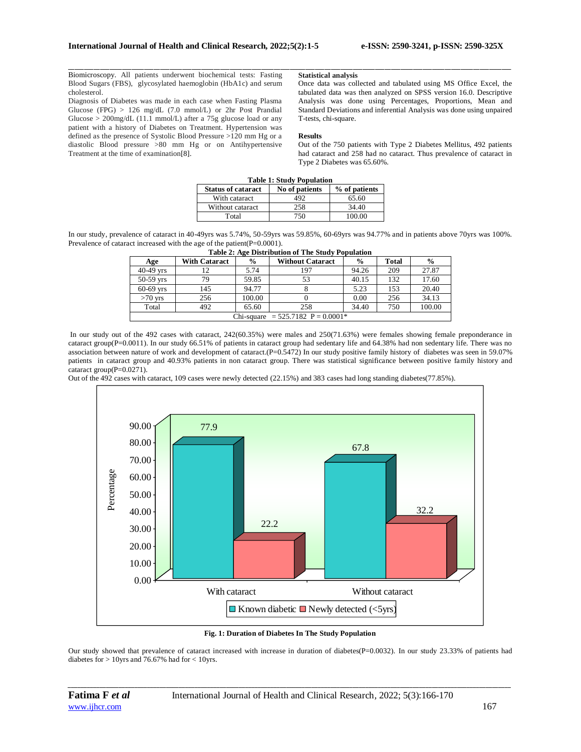Biomicroscopy. All patients underwent biochemical tests: Fasting Blood Sugars (FBS), glycosylated haemoglobin (HbA1c) and serum cholesterol.

Diagnosis of Diabetes was made in each case when Fasting Plasma Glucose (FPG) > 126 mg/dL (7.0 mmol/L) or 2hr Post Prandial Glucose > 200mg/dL (11.1 mmol/L) after a 75g glucose load or any patient with a history of Diabetes on Treatment. Hypertension was defined as the presence of Systolic Blood Pressure >120 mm Hg or a diastolic Blood pressure >80 mm Hg or on Antihypertensive Treatment at the time of examination[8].

### **Statistical analysis**

Once data was collected and tabulated using MS Office Excel, the tabulated data was then analyzed on SPSS version 16.0. Descriptive Analysis was done using Percentages, Proportions, Mean and Standard Deviations and inferential Analysis was done using unpaired T-tests, chi-square.

#### **Results**

Out of the 750 patients with Type 2 Diabetes Mellitus, 492 patients had cataract and 258 had no cataract. Thus prevalence of cataract in Type 2 Diabetes was 65.60%.

| <b>Table 1: Study Population</b> |                |               |  |  |  |  |  |  |
|----------------------------------|----------------|---------------|--|--|--|--|--|--|
| <b>Status of cataract</b>        | No of patients | % of patients |  |  |  |  |  |  |
| With cataract                    | 492            | 65.60         |  |  |  |  |  |  |
| Without cataract                 | 258            | 34.40         |  |  |  |  |  |  |
| Total                            | 750            | 100.00        |  |  |  |  |  |  |

\_\_\_\_\_\_\_\_\_\_\_\_\_\_\_\_\_\_\_\_\_\_\_\_\_\_\_\_\_\_\_\_\_\_\_\_\_\_\_\_\_\_\_\_\_\_\_\_\_\_\_\_\_\_\_\_\_\_\_\_\_\_\_\_\_\_\_\_\_\_\_\_\_\_\_\_\_\_\_\_\_\_\_\_\_\_\_\_\_\_\_\_\_\_\_\_\_\_\_\_\_\_\_\_\_\_\_\_\_\_\_\_\_\_\_\_\_\_\_\_\_\_\_\_\_\_\_\_\_\_\_\_\_\_\_\_\_\_\_\_

In our study, prevalence of cataract in 40-49yrs was 5.74%, 50-59yrs was 59.85%, 60-69yrs was 94.77% and in patients above 70yrs was 100%. Prevalence of cataract increased with the age of the patient(P=0.0001).

| Age                                   | <b>With Cataract</b> | $\frac{6}{9}$ | <b>Without Cataract</b> | $\frac{6}{9}$ | <b>Total</b> | $\frac{0}{0}$ |  |  |  |
|---------------------------------------|----------------------|---------------|-------------------------|---------------|--------------|---------------|--|--|--|
| $40-49$ yrs                           |                      | 5.74          | 197                     | 94.26         | 209          | 27.87         |  |  |  |
| $50-59$ vrs                           | 79                   | 59.85         | 53                      | 40.15         | 132          | 17.60         |  |  |  |
| $60-69$ yrs                           | 145                  | 94.77         |                         | 5.23          | 153          | 20.40         |  |  |  |
| $>70$ yrs                             | 256                  | 100.00        |                         | 0.00          | 256          | 34.13         |  |  |  |
| Total                                 | 492                  | 65.60         | 258                     | 34.40         | 750          | 100.00        |  |  |  |
| Chi-square = $525.7182$ P = $0.0001*$ |                      |               |                         |               |              |               |  |  |  |

|  | Table 2: Age Distribution of The Study Population |  |
|--|---------------------------------------------------|--|
|  |                                                   |  |

In our study out of the 492 cases with cataract, 242(60.35%) were males and 250(71.63%) were females showing female preponderance in cataract group(P=0.0011). In our study 66.51% of patients in cataract group had sedentary life and 64.38% had non sedentary life. There was no association between nature of work and development of cataract.(P=0.5472) In our study positive family history of diabetes was seen in 59.07% patients in cataract group and 40.93% patients in non cataract group. There was statistical significance between positive family history and cataract group $(P=0.0271)$ .

Out of the 492 cases with cataract, 109 cases were newly detected (22.15%) and 383 cases had long standing diabetes(77.85%).



**Fig. 1: Duration of Diabetes In The Study Population**

Our study showed that prevalence of cataract increased with increase in duration of diabetes(P=0.0032). In our study 23.33% of patients had diabetes for  $> 10$ yrs and 76.67% had for  $< 10$ yrs.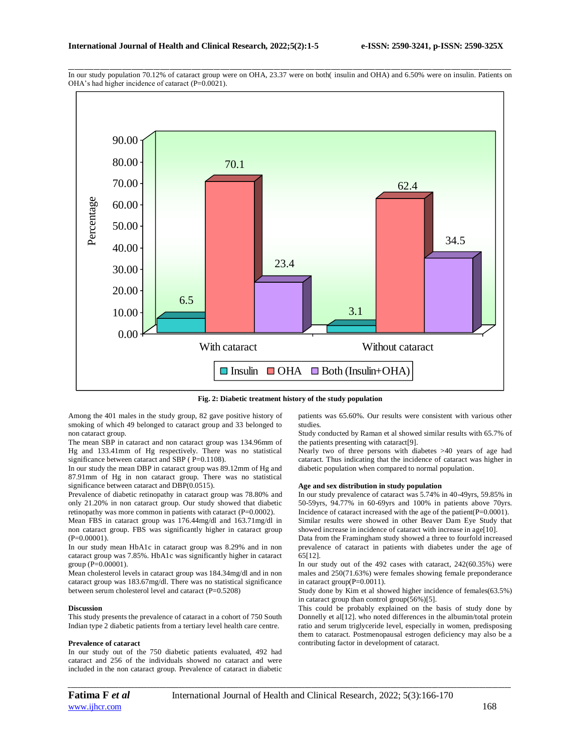

\_\_\_\_\_\_\_\_\_\_\_\_\_\_\_\_\_\_\_\_\_\_\_\_\_\_\_\_\_\_\_\_\_\_\_\_\_\_\_\_\_\_\_\_\_\_\_\_\_\_\_\_\_\_\_\_\_\_\_\_\_\_\_\_\_\_\_\_\_\_\_\_\_\_\_\_\_\_\_\_\_\_\_\_\_\_\_\_\_\_\_\_\_\_\_\_\_\_\_\_\_\_\_\_\_\_\_\_\_\_\_\_\_\_\_\_\_\_\_\_\_\_\_\_\_\_\_\_\_\_\_\_\_\_\_\_\_\_\_\_ In our study population 70.12% of cataract group were on OHA, 23.37 were on both( insulin and OHA) and 6.50% were on insulin. Patients on OHA's had higher incidence of cataract (P=0.0021).

**Fig. 2: Diabetic treatment history of the study population**

Among the 401 males in the study group, 82 gave positive history of smoking of which 49 belonged to cataract group and 33 belonged to non cataract group.

The mean SBP in cataract and non cataract group was 134.96mm of Hg and 133.41mm of Hg respectively. There was no statistical significance between cataract and SBP (P=0.1108).

In our study the mean DBP in cataract group was 89.12mm of Hg and 87.91mm of Hg in non cataract group. There was no statistical significance between cataract and DBP(0.0515).

Prevalence of diabetic retinopathy in cataract group was 78.80% and only 21.20% in non cataract group. Our study showed that diabetic retinopathy was more common in patients with cataract (P=0.0002).

Mean FBS in cataract group was 176.44mg/dl and 163.71mg/dl in non cataract group. FBS was significantly higher in cataract group (P=0.00001).

In our study mean HbA1c in cataract group was 8.29% and in non cataract group was 7.85%. HbA1c was significantly higher in cataract group (P=0.00001).

Mean cholesterol levels in cataract group was 184.34mg/dl and in non cataract group was 183.67mg/dl. There was no statistical significance between serum cholesterol level and cataract (P=0.5208)

### **Discussion**

This study presents the prevalence of cataract in a cohort of 750 South Indian type 2 diabetic patients from a tertiary level health care centre.

#### **Prevalence of cataract**

In our study out of the 750 diabetic patients evaluated, 492 had cataract and 256 of the individuals showed no cataract and were included in the non cataract group. Prevalence of cataract in diabetic patients was 65.60%. Our results were consistent with various other studies.

Study conducted by Raman et al showed similar results with 65.7% of the patients presenting with cataract[9].

Nearly two of three persons with diabetes >40 years of age had cataract. Thus indicating that the incidence of cataract was higher in diabetic population when compared to normal population.

### **Age and sex distribution in study population**

In our study prevalence of cataract was 5.74% in 40-49yrs, 59.85% in 50-59yrs, 94.77% in 60-69yrs and 100% in patients above 70yrs. Incidence of cataract increased with the age of the patient(P=0.0001). Similar results were showed in other Beaver Dam Eye Study that

showed increase in incidence of cataract with increase in age[10].

Data from the Framingham study showed a three to fourfold increased prevalence of cataract in patients with diabetes under the age of 65[12].

In our study out of the 492 cases with cataract, 242(60.35%) were males and 250(71.63%) were females showing female preponderance in cataract group(P=0.0011).

Study done by Kim et al showed higher incidence of females(63.5%) in cataract group than control group(56%)[5].

This could be probably explained on the basis of study done by Donnelly et al[12]. who noted differences in the albumin/total protein ratio and serum triglyceride level, especially in women, predisposing them to cataract. Postmenopausal estrogen deficiency may also be a contributing factor in development of cataract.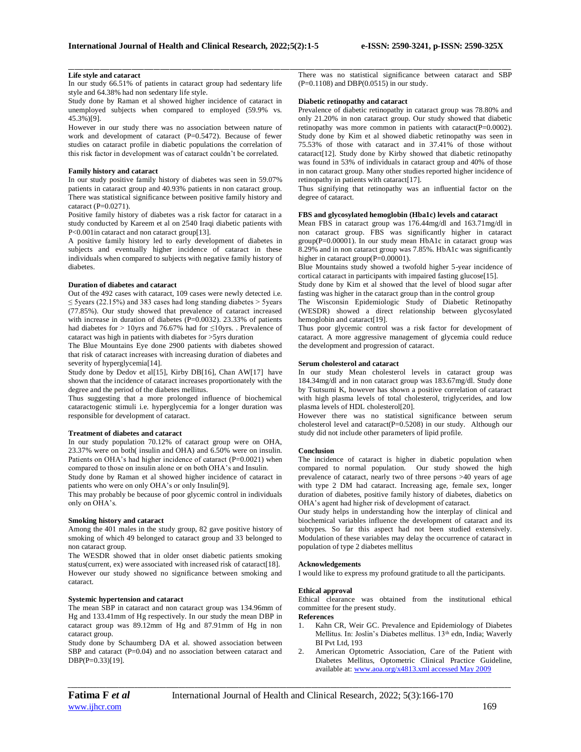### **Life style and cataract**

In our study 66.51% of patients in cataract group had sedentary life style and 64.38% had non sedentary life style.

Study done by Raman et al showed higher incidence of cataract in unemployed subjects when compared to employed (59.9% vs. 45.3%)[9].

However in our study there was no association between nature of work and development of cataract (P=0.5472). Because of fewer studies on cataract profile in diabetic populations the correlation of this risk factor in development was of cataract couldn't be correlated.

### **Family history and cataract**

In our study positive family history of diabetes was seen in 59.07% patients in cataract group and 40.93% patients in non cataract group. There was statistical significance between positive family history and cataract (P=0.0271).

Positive family history of diabetes was a risk factor for cataract in a study conducted by Kareem et al on 2540 Iraqi diabetic patients with P<0.001in cataract and non cataract group[13].

A positive family history led to early development of diabetes in subjects and eventually higher incidence of cataract in these individuals when compared to subjects with negative family history of diabetes.

#### **Duration of diabetes and cataract**

Out of the 492 cases with cataract, 109 cases were newly detected i.e. ≤ 5years (22.15%) and 383 cases had long standing diabetes > 5years (77.85%). Our study showed that prevalence of cataract increased with increase in duration of diabetes (P=0.0032). 23.33% of patients had diabetes for > 10yrs and 76.67% had for ≤10yrs. . Prevalence of cataract was high in patients with diabetes for >5yrs duration

The Blue Mountains Eye done 2900 patients with diabetes showed that risk of cataract increases with increasing duration of diabetes and severity of hyperglycemia<sup>[14]</sup>.

Study done by Dedov et al[15], Kirby DB[16], Chan AW[17] have shown that the incidence of cataract increases proportionately with the degree and the period of the diabetes mellitus.

Thus suggesting that a more prolonged influence of biochemical cataractogenic stimuli i.e. hyperglycemia for a longer duration was responsible for development of cataract.

#### **Treatment of diabetes and cataract**

In our study population 70.12% of cataract group were on OHA, 23.37% were on both( insulin and OHA) and 6.50% were on insulin. Patients on OHA's had higher incidence of cataract (P=0.0021) when compared to those on insulin alone or on both OHA's and Insulin.

Study done by Raman et al showed higher incidence of cataract in patients who were on only OHA's or only Insulin[9].

This may probably be because of poor glycemic control in individuals only on OHA's.

### **Smoking history and cataract**

Among the 401 males in the study group, 82 gave positive history of smoking of which 49 belonged to cataract group and 33 belonged to non cataract group.

The WESDR showed that in older onset diabetic patients smoking status(current, ex) were associated with increased risk of cataract[18]. However our study showed no significance between smoking and cataract.

#### **Systemic hypertension and cataract**

The mean SBP in cataract and non cataract group was 134.96mm of Hg and 133.41mm of Hg respectively. In our study the mean DBP in cataract group was 89.12mm of Hg and 87.91mm of Hg in non cataract group.

Study done by Schaumberg DA et al. showed association between SBP and cataract (P=0.04) and no association between cataract and DBP(P=0.33)[19].

\_\_\_\_\_\_\_\_\_\_\_\_\_\_\_\_\_\_\_\_\_\_\_\_\_\_\_\_\_\_\_\_\_\_\_\_\_\_\_\_\_\_\_\_\_\_\_\_\_\_\_\_\_\_\_\_\_\_\_\_\_\_\_\_\_\_\_\_\_\_\_\_\_\_\_\_\_\_\_\_\_\_\_\_\_\_\_\_\_\_\_\_\_\_\_\_\_\_\_\_\_\_\_\_\_\_\_\_\_\_\_\_\_\_\_\_\_\_\_\_\_\_\_\_\_\_\_\_\_\_\_\_\_\_\_\_\_\_\_\_ There was no statistical significance between cataract and SBP  $(P=0.1108)$  and DBP $(0.0515)$  in our study.

#### **Diabetic retinopathy and cataract**

Prevalence of diabetic retinopathy in cataract group was 78.80% and only 21.20% in non cataract group. Our study showed that diabetic retinopathy was more common in patients with cataract(P=0.0002). Study done by Kim et al showed diabetic retinopathy was seen in 75.53% of those with cataract and in 37.41% of those without cataract[12]. Study done by Kirby showed that diabetic retinopathy was found in 53% of individuals in cataract group and 40% of those in non cataract group. Many other studies reported higher incidence of retinopathy in patients with cataract[17].

Thus signifying that retinopathy was an influential factor on the degree of cataract.

### **FBS and glycosylated hemoglobin (Hba1c) levels and cataract**

Mean FBS in cataract group was 176.44mg/dl and 163.71mg/dl in non cataract group. FBS was significantly higher in cataract group(P=0.00001). In our study mean HbA1c in cataract group was 8.29% and in non cataract group was 7.85%. HbA1c was significantly higher in cataract group(P=0.00001).

Blue Mountains study showed a twofold higher 5-year incidence of cortical cataract in participants with impaired fasting glucose<sup>[15]</sup>.

Study done by Kim et al showed that the level of blood sugar after fasting was higher in the cataract group than in the control group

The Wisconsin Epidemiologic Study of Diabetic Retinopathy (WESDR) showed a direct relationship between glycosylated hemoglobin and cataract<sup>[19]</sup>.

Thus poor glycemic control was a risk factor for development of cataract. A more aggressive management of glycemia could reduce the development and progression of cataract.

#### **Serum cholesterol and cataract**

In our study Mean cholesterol levels in cataract group was 184.34mg/dl and in non cataract group was 183.67mg/dl. Study done by Tsutsumi K, however has shown a positive correlation of cataract with high plasma levels of total cholesterol, triglycerides, and low plasma levels of HDL cholesterol[20].

However there was no statistical significance between serum cholesterol level and cataract(P=0.5208) in our study. Although our study did not include other parameters of lipid profile.

#### **Conclusion**

The incidence of cataract is higher in diabetic population when compared to normal population. Our study showed the high prevalence of cataract, nearly two of three persons >40 years of age with type 2 DM had cataract. Increasing age, female sex, longer duration of diabetes, positive family history of diabetes, diabetics on OHA's agent had higher risk of development of cataract.

Our study helps in understanding how the interplay of clinical and biochemical variables influence the development of cataract and its subtypes. So far this aspect had not been studied extensively. Modulation of these variables may delay the occurrence of cataract in population of type 2 diabetes mellitus

# **Acknowledgements**

I would like to express my profound gratitude to all the participants.

#### **Ethical approval**

Ethical clearance was obtained from the institutional ethical committee for the present study.

### **References**

- 1. Kahn CR, Weir GC. Prevalence and Epidemiology of Diabetes Mellitus. In: Joslin's Diabetes mellitus. 13<sup>th</sup> edn, India; Waverly BI Pvt Ltd, 193
- 2. American Optometric Association, Care of the Patient with Diabetes Mellitus, Optometric Clinical Practice Guideline, available at[: www.aoa.org/x4813.xml accessed May 2009](http://www.aoa.org/x4813.xml%20accessed%20May%202009)